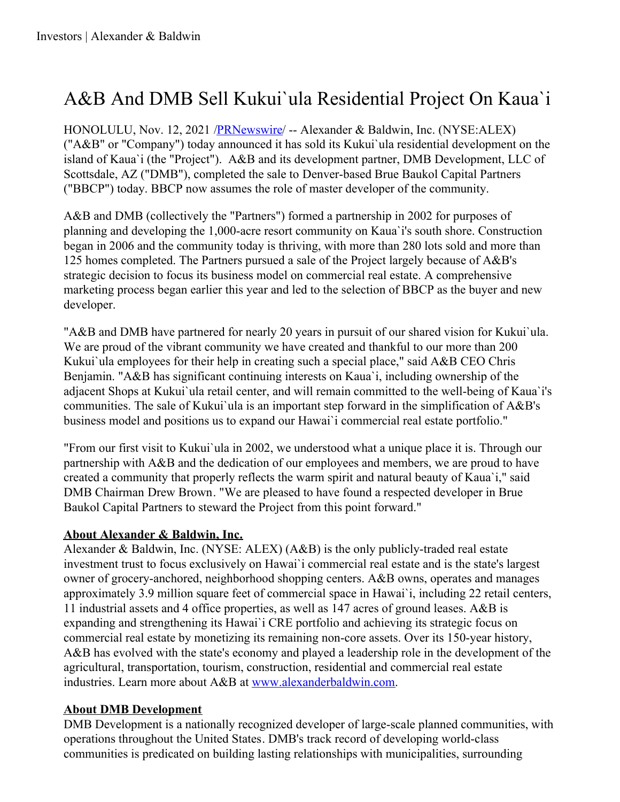## A&B And DMB Sell Kukui`ula Residential Project On Kaua`i

HONOLULU, Nov. 12, 2021 [/PRNewswire](http://www.prnewswire.com/)/ -- Alexander & Baldwin, Inc. (NYSE:ALEX) ("A&B" or "Company") today announced it has sold its Kukui`ula residential development on the island of Kaua`i (the "Project"). A&B and its development partner, DMB Development, LLC of Scottsdale, AZ ("DMB"), completed the sale to Denver-based Brue Baukol Capital Partners ("BBCP") today. BBCP now assumes the role of master developer of the community.

A&B and DMB (collectively the "Partners") formed a partnership in 2002 for purposes of planning and developing the 1,000-acre resort community on Kaua`i's south shore. Construction began in 2006 and the community today is thriving, with more than 280 lots sold and more than 125 homes completed. The Partners pursued a sale of the Project largely because of A&B's strategic decision to focus its business model on commercial real estate. A comprehensive marketing process began earlier this year and led to the selection of BBCP as the buyer and new developer.

"A&B and DMB have partnered for nearly 20 years in pursuit of our shared vision for Kukui`ula. We are proud of the vibrant community we have created and thankful to our more than 200 Kukui'ula employees for their help in creating such a special place," said A&B CEO Chris Benjamin. "A&B has significant continuing interests on Kaua`i, including ownership of the adjacent Shops at Kukui`ula retail center, and will remain committed to the well-being of Kaua`i's communities. The sale of Kukui`ula is an important step forward in the simplification of A&B's business model and positions us to expand our Hawai`i commercial real estate portfolio."

"From our first visit to Kukui`ula in 2002, we understood what a unique place it is. Through our partnership with A&B and the dedication of our employees and members, we are proud to have created a community that properly reflects the warm spirit and natural beauty of Kaua`i," said DMB Chairman Drew Brown. "We are pleased to have found a respected developer in Brue Baukol Capital Partners to steward the Project from this point forward."

## **About Alexander & Baldwin, Inc.**

Alexander & Baldwin, Inc. (NYSE: ALEX) (A&B) is the only publicly-traded real estate investment trust to focus exclusively on Hawai`i commercial real estate and is the state's largest owner of grocery-anchored, neighborhood shopping centers. A&B owns, operates and manages approximately 3.9 million square feet of commercial space in Hawai`i, including 22 retail centers, 11 industrial assets and 4 office properties, as well as 147 acres of ground leases. A&B is expanding and strengthening its Hawai`i CRE portfolio and achieving its strategic focus on commercial real estate by monetizing its remaining non-core assets. Over its 150-year history, A&B has evolved with the state's economy and played a leadership role in the development of the agricultural, transportation, tourism, construction, residential and commercial real estate industries. Learn more about A&B at [www.alexanderbaldwin.com](https://c212.net/c/link/?t=0&l=en&o=3357752-1&h=717502195&u=http%3A%2F%2Fwww.alexanderbaldwin.com%2F&a=www.alexanderbaldwin.com).

## **About DMB Development**

DMB Development is a nationally recognized developer of large-scale planned communities, with operations throughout the United States. DMB's track record of developing world-class communities is predicated on building lasting relationships with municipalities, surrounding